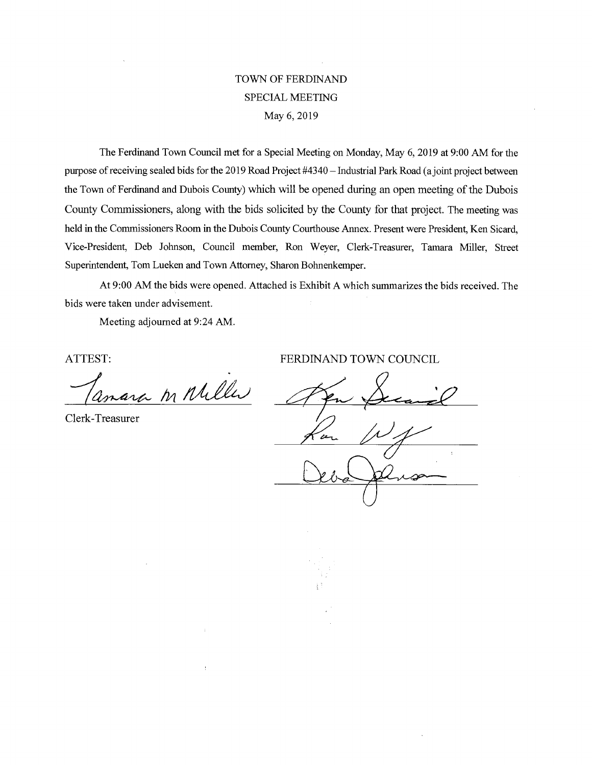## TOWN OF FERD1NAND SPECIAL MEETING May 6, 2019

The Ferdinand Town Council met for a Special Meeting on Monday, May 6, 2019 at 9:00 AM for the purpose of receiving sealed bids for the 2019 Road Project #4340 — Industrial Park Road (a joint project between the Town of Ferdinand and Dubois County) which will be opened during an open meeting of the Dubois County Commissioners, along with the bids solicited by the County for that project. The meeting was held in the Commissioners Room in the Dubois County Courthouse Annex. Present were President, Ken Sicard, Vice-President, Deb Johnson, Council member, Ron Weyer, Clerk-Treasurer, Tamara Miller, Street Superintendent, Tom Lueken and Town Attorney, Sharon Bohnenkemper.

At 9:00 AM the bids were opened. Attached is Exhibit A which summarizes the bids received. The bids were taken under advisement.

Meeting adjourned at 9:24 AM.

ara in Miller

Clerk-Treasurer

ATTEST: FERDINAND TOWN COUNCIL

æ.